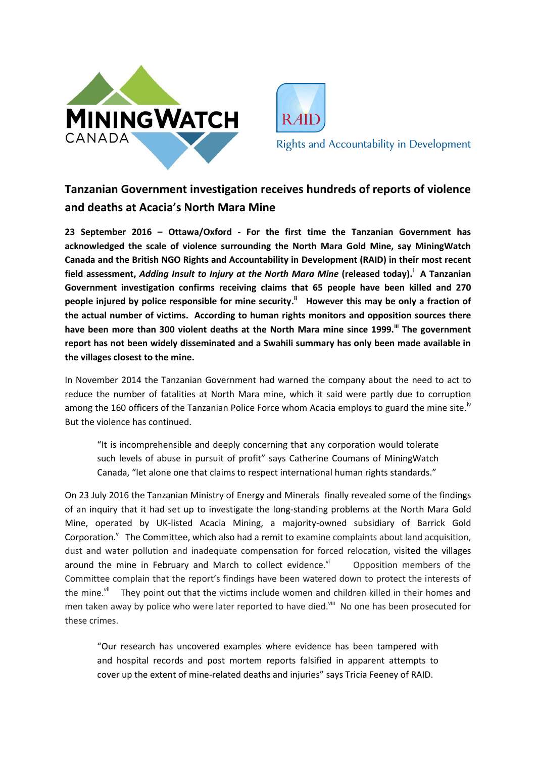



**Rights and Accountability in Development** 

## **Tanzanian Government investigation receives hundreds of reports of violence and deaths at Acacia's North Mara Mine**

**23 September 2016 – Ottawa/Oxford - For the first time the Tanzanian Government has acknowledged the scale of violence surrounding the North Mara Gold Mine, say MiningWatch Canada and the British NGO Rights and Accountability in Development (RAID) in their most recent field assessment,** *Adding Insult to Injury at the North Mara Mine* **(released today). i A Tanzanian Government investigation confirms receiving claims that 65 people have been killed and 270 people injured by police responsible for mine security. ii However this may be only a fraction of the actual number of victims. According to human rights monitors and opposition sources there have been more than 300 violent deaths at the North Mara mine since 1999.iii The government report has not been widely disseminated and a Swahili summary has only been made available in the villages closest to the mine.**

In November 2014 the Tanzanian Government had warned the company about the need to act to reduce the number of fatalities at North Mara mine, which it said were partly due to corruption among the 160 officers of the Tanzanian Police Force whom Acacia employs to guard the mine site.<sup>iv</sup> But the violence has continued.

"It is incomprehensible and deeply concerning that any corporation would tolerate such levels of abuse in pursuit of profit" says Catherine Coumans of MiningWatch Canada, "let alone one that claims to respect international human rights standards."

On 23 July 2016 the Tanzanian Ministry of Energy and Minerals finally revealed some of the findings of an inquiry that it had set up to investigate the long-standing problems at the North Mara Gold Mine, operated by UK-listed Acacia Mining, a majority-owned subsidiary of Barrick Gold Corporation.<sup>v</sup> The Committee, which also had a remit to examine complaints about land acquisition, dust and water pollution and inadequate compensation for forced relocation, visited the villages around the mine in February and March to collect evidence.vi Opposition members of the Committee complain that the report's findings have been watered down to protect the interests of the mine.<sup>vii</sup> They point out that the victims include women and children killed in their homes and men taken away by police who were later reported to have died.<sup>viii</sup> No one has been prosecuted for these crimes.

"Our research has uncovered examples where evidence has been tampered with and hospital records and post mortem reports falsified in apparent attempts to cover up the extent of mine-related deaths and injuries" says Tricia Feeney of RAID.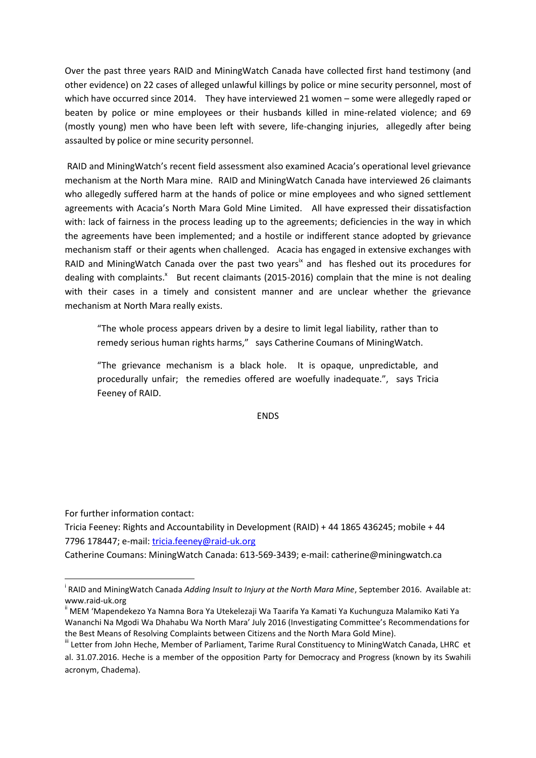Over the past three years RAID and MiningWatch Canada have collected first hand testimony (and other evidence) on 22 cases of alleged unlawful killings by police or mine security personnel, most of which have occurred since 2014. They have interviewed 21 women – some were allegedly raped or beaten by police or mine employees or their husbands killed in mine-related violence; and 69 (mostly young) men who have been left with severe, life-changing injuries, allegedly after being assaulted by police or mine security personnel.

RAID and MiningWatch's recent field assessment also examined Acacia's operational level grievance mechanism at the North Mara mine. RAID and MiningWatch Canada have interviewed 26 claimants who allegedly suffered harm at the hands of police or mine employees and who signed settlement agreements with Acacia's North Mara Gold Mine Limited. All have expressed their dissatisfaction with: lack of fairness in the process leading up to the agreements; deficiencies in the way in which the agreements have been implemented; and a hostile or indifferent stance adopted by grievance mechanism staff or their agents when challenged. Acacia has engaged in extensive exchanges with RAID and MiningWatch Canada over the past two years<sup> $x$ </sup> and has fleshed out its procedures for dealing with complaints.<sup>x</sup> But recent claimants (2015-2016) complain that the mine is not dealing with their cases in a timely and consistent manner and are unclear whether the grievance mechanism at North Mara really exists.

"The whole process appears driven by a desire to limit legal liability, rather than to remedy serious human rights harms," says Catherine Coumans of MiningWatch.

"The grievance mechanism is a black hole. It is opaque, unpredictable, and procedurally unfair; the remedies offered are woefully inadequate.", says Tricia Feeney of RAID.

ENDS

For further information contact:

1

Tricia Feeney: Rights and Accountability in Development (RAID) + 44 1865 436245; mobile + 44 7796 178447; e-mail: [tricia.feeney@raid-uk.org](mailto:tricia.feeney@raid-uk.org)

Catherine Coumans: MiningWatch Canada: 613-569-3439; e-mail: catherine@miningwatch.ca

i RAID and MiningWatch Canada *Adding Insult to Injury at the North Mara Mine*, September 2016. Available at: www.raid-uk.org

ii MEM 'Mapendekezo Ya Namna Bora Ya Utekelezaji Wa Taarifa Ya Kamati Ya Kuchunguza Malamiko Kati Ya Wananchi Na Mgodi Wa Dhahabu Wa North Mara' July 2016 (Investigating Committee's Recommendations for the Best Means of Resolving Complaints between Citizens and the North Mara Gold Mine).

<sup>&</sup>quot; Letter from John Heche, Member of Parliament, Tarime Rural Constituency to MiningWatch Canada, LHRC et al. 31.07.2016. Heche is a member of the opposition Party for Democracy and Progress (known by its Swahili acronym, Chadema).